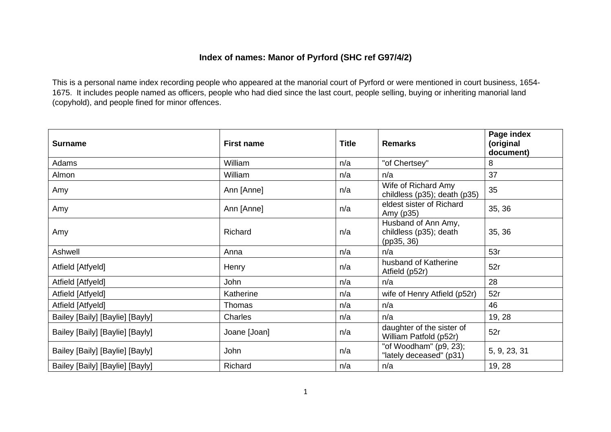## **Index of names: Manor of Pyrford (SHC ref G97/4/2)**

This is a personal name index recording people who appeared at the manorial court of Pyrford or were mentioned in court business, 1654- 1675. It includes people named as officers, people who had died since the last court, people selling, buying or inheriting manorial land (copyhold), and people fined for minor offences.

| <b>Surname</b>                  | <b>First name</b> | <b>Title</b> | <b>Remarks</b>                                              | Page index<br>(original<br>document) |
|---------------------------------|-------------------|--------------|-------------------------------------------------------------|--------------------------------------|
| Adams                           | William           | n/a          | "of Chertsey"                                               | 8                                    |
| Almon                           | William           | n/a          | n/a                                                         | 37                                   |
| Amy                             | Ann [Anne]        | n/a          | Wife of Richard Amy<br>childless (p35); death (p35)         | 35                                   |
| Amy                             | Ann [Anne]        | n/a          | eldest sister of Richard<br>Amy (p35)                       | 35, 36                               |
| Amy                             | Richard           | n/a          | Husband of Ann Amy,<br>childless (p35); death<br>(pp35, 36) | 35, 36                               |
| Ashwell                         | Anna              | n/a          | n/a                                                         | 53r                                  |
| Atfield [Atfyeld]               | Henry             | n/a          | husband of Katherine<br>Atfield (p52r)                      | 52r                                  |
| Atfield [Atfyeld]               | John              | n/a          | n/a                                                         | 28                                   |
| Atfield [Atfyeld]               | Katherine         | n/a          | wife of Henry Atfield (p52r)                                | 52r                                  |
| Atfield [Atfyeld]               | Thomas            | n/a          | n/a                                                         | 46                                   |
| Bailey [Baily] [Baylie] [Bayly] | Charles           | n/a          | n/a                                                         | 19, 28                               |
| Bailey [Baily] [Baylie] [Bayly] | Joane [Joan]      | n/a          | daughter of the sister of<br>William Patfold (p52r)         | 52r                                  |
| Bailey [Baily] [Baylie] [Bayly] | John              | n/a          | "of Woodham" (p9, 23);<br>"lately deceased" (p31)           | 5, 9, 23, 31                         |
| Bailey [Baily] [Baylie] [Bayly] | Richard           | n/a          | n/a                                                         | 19, 28                               |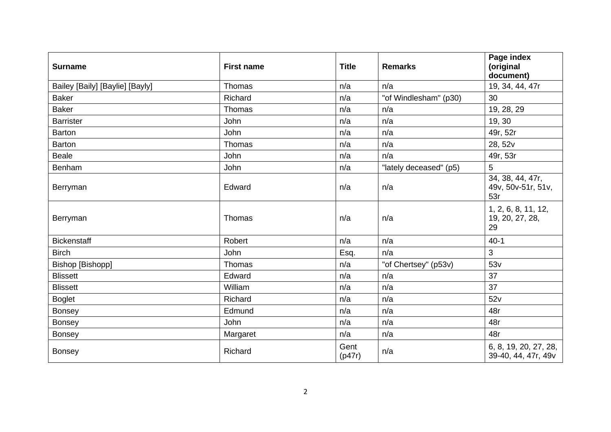| <b>Surname</b>                  | <b>First name</b> | <b>Title</b>   | <b>Remarks</b>         | Page index<br>(original<br>document)          |
|---------------------------------|-------------------|----------------|------------------------|-----------------------------------------------|
| Bailey [Baily] [Baylie] [Bayly] | Thomas            | n/a            | n/a                    | 19, 34, 44, 47r                               |
| <b>Baker</b>                    | Richard           | n/a            | "of Windlesham" (p30)  | 30                                            |
| <b>Baker</b>                    | Thomas            | n/a            | n/a                    | 19, 28, 29                                    |
| <b>Barrister</b>                | John              | n/a            | n/a                    | 19, 30                                        |
| <b>Barton</b>                   | John              | n/a            | n/a                    | 49r, 52r                                      |
| <b>Barton</b>                   | Thomas            | n/a            | n/a                    | 28, 52v                                       |
| <b>Beale</b>                    | John              | n/a            | n/a                    | 49r, 53r                                      |
| Benham                          | John              | n/a            | "lately deceased" (p5) | 5                                             |
| Berryman                        | Edward            | n/a            | n/a                    | 34, 38, 44, 47r,<br>49v, 50v-51r, 51v,<br>53r |
| Berryman                        | Thomas            | n/a            | n/a                    | 1, 2, 6, 8, 11, 12,<br>19, 20, 27, 28,<br>29  |
| <b>Bickenstaff</b>              | Robert            | n/a            | n/a                    | $40 - 1$                                      |
| <b>Birch</b>                    | John              | Esq.           | n/a                    | 3                                             |
| Bishop [Bishopp]                | Thomas            | n/a            | "of Chertsey" (p53v)   | 53v                                           |
| <b>Blissett</b>                 | Edward            | n/a            | n/a                    | 37                                            |
| <b>Blissett</b>                 | William           | n/a            | n/a                    | 37                                            |
| <b>Boglet</b>                   | Richard           | n/a            | n/a                    | 52v                                           |
| <b>Bonsey</b>                   | Edmund            | n/a            | n/a                    | 48r                                           |
| <b>Bonsey</b>                   | John              | n/a            | n/a                    | 48r                                           |
| Bonsey                          | Margaret          | n/a            | n/a                    | 48r                                           |
| <b>Bonsey</b>                   | Richard           | Gent<br>(p47r) | n/a                    | 6, 8, 19, 20, 27, 28,<br>39-40, 44, 47r, 49v  |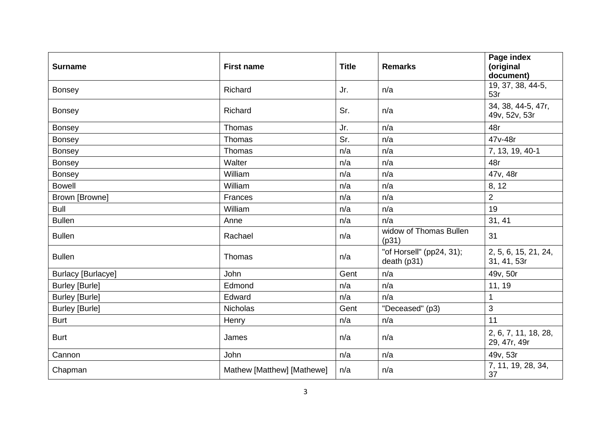| <b>Surname</b>            | <b>First name</b>          | <b>Title</b> | <b>Remarks</b>                          | Page index<br>(original<br>document) |
|---------------------------|----------------------------|--------------|-----------------------------------------|--------------------------------------|
| <b>Bonsey</b>             | Richard                    | Jr.          | n/a                                     | 19, 37, 38, 44-5,<br>53r             |
| <b>Bonsey</b>             | Richard                    | Sr.          | n/a                                     | 34, 38, 44-5, 47r,<br>49v, 52v, 53r  |
| <b>Bonsey</b>             | Thomas                     | Jr.          | n/a                                     | 48r                                  |
| <b>Bonsey</b>             | Thomas                     | Sr.          | n/a                                     | 47v-48r                              |
| <b>Bonsey</b>             | Thomas                     | n/a          | n/a                                     | 7, 13, 19, 40-1                      |
| <b>Bonsey</b>             | Walter                     | n/a          | n/a                                     | 48r                                  |
| <b>Bonsey</b>             | William                    | n/a          | n/a                                     | 47v, 48r                             |
| <b>Bowell</b>             | William                    | n/a          | n/a                                     | 8, 12                                |
| Brown [Browne]            | Frances                    | n/a          | n/a                                     | $\overline{2}$                       |
| <b>Bull</b>               | William                    | n/a          | n/a                                     | 19                                   |
| <b>Bullen</b>             | Anne                       | n/a          | n/a                                     | 31, 41                               |
| <b>Bullen</b>             | Rachael                    | n/a          | widow of Thomas Bullen<br>(p31)         | 31                                   |
| <b>Bullen</b>             | Thomas                     | n/a          | "of Horsell" (pp24, 31);<br>death (p31) | 2, 5, 6, 15, 21, 24,<br>31, 41, 53r  |
| <b>Burlacy [Burlacye]</b> | John                       | Gent         | n/a                                     | 49v, 50r                             |
| <b>Burley [Burle]</b>     | Edmond                     | n/a          | n/a                                     | 11, 19                               |
| <b>Burley [Burle]</b>     | Edward                     | n/a          | n/a                                     | $\mathbf{1}$                         |
| <b>Burley [Burle]</b>     | <b>Nicholas</b>            | Gent         | "Deceased" (p3)                         | 3                                    |
| <b>Burt</b>               | Henry                      | n/a          | n/a                                     | 11                                   |
| <b>Burt</b>               | James                      | n/a          | n/a                                     | 2, 6, 7, 11, 18, 28,<br>29, 47r, 49r |
| Cannon                    | John                       | n/a          | n/a                                     | 49v, 53r                             |
| Chapman                   | Mathew [Matthew] [Mathewe] | n/a          | n/a                                     | 7, 11, 19, 28, 34,<br>37             |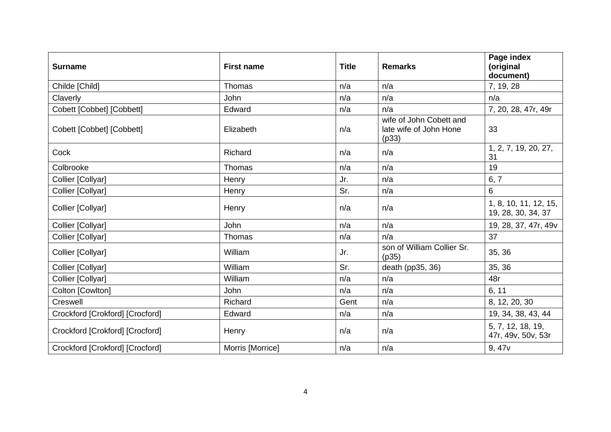| <b>Surname</b>                  | <b>First name</b> | <b>Title</b> | <b>Remarks</b>                                             | Page index<br>(original<br>document)        |
|---------------------------------|-------------------|--------------|------------------------------------------------------------|---------------------------------------------|
| Childe [Child]                  | Thomas            | n/a          | n/a                                                        | 7, 19, 28                                   |
| Claverly                        | John              | n/a          | n/a                                                        | n/a                                         |
| Cobett [Cobbet] [Cobbett]       | Edward            | n/a          | n/a                                                        | 7, 20, 28, 47r, 49r                         |
| Cobett [Cobbet] [Cobbett]       | Elizabeth         | n/a          | wife of John Cobett and<br>late wife of John Hone<br>(p33) | 33                                          |
| Cock                            | Richard           | n/a          | n/a                                                        | 1, 2, 7, 19, 20, 27,<br>31                  |
| Colbrooke                       | Thomas            | n/a          | n/a                                                        | 19                                          |
| Collier [Collyar]               | Henry             | Jr.          | n/a                                                        | 6, 7                                        |
| Collier [Collyar]               | Henry             | Sr.          | n/a                                                        | 6                                           |
| Collier [Collyar]               | Henry             | n/a          | n/a                                                        | 1, 8, 10, 11, 12, 15,<br>19, 28, 30, 34, 37 |
| Collier [Collyar]               | John              | n/a          | n/a                                                        | 19, 28, 37, 47r, 49v                        |
| Collier [Collyar]               | Thomas            | n/a          | n/a                                                        | 37                                          |
| Collier [Collyar]               | William           | Jr.          | son of William Collier Sr.<br>(p35)                        | 35, 36                                      |
| Collier [Collyar]               | William           | Sr.          | death (pp35, 36)                                           | 35, 36                                      |
| Collier [Collyar]               | William           | n/a          | n/a                                                        | 48r                                         |
| Colton [Cowlton]                | John              | n/a          | n/a                                                        | 6, 11                                       |
| Creswell                        | Richard           | Gent         | n/a                                                        | 8, 12, 20, 30                               |
| Crockford [Crokford] [Crocford] | Edward            | n/a          | n/a                                                        | 19, 34, 38, 43, 44                          |
| Crockford [Crokford] [Crocford] | Henry             | n/a          | n/a                                                        | 5, 7, 12, 18, 19,<br>47r, 49v, 50v, 53r     |
| Crockford [Crokford] [Crocford] | Morris [Morrice]  | n/a          | n/a                                                        | 9, 47v                                      |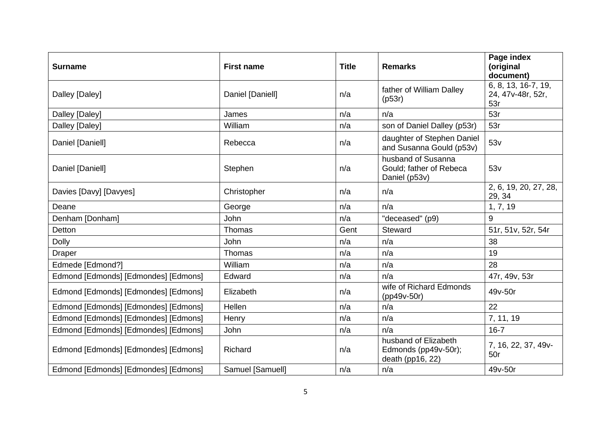| <b>Surname</b>                       | <b>First name</b> | <b>Title</b> | <b>Remarks</b>                                                   | Page index<br>(original<br>document)            |
|--------------------------------------|-------------------|--------------|------------------------------------------------------------------|-------------------------------------------------|
| Dalley [Daley]                       | Daniel [Daniell]  | n/a          | father of William Dalley<br>(p53r)                               | 6, 8, 13, 16-7, 19,<br>24, 47v-48r, 52r,<br>53r |
| Dalley [Daley]                       | James             | n/a          | n/a                                                              | 53r                                             |
| Dalley [Daley]                       | William           | n/a          | son of Daniel Dalley (p53r)                                      | 53r                                             |
| Daniel [Daniell]                     | Rebecca           | n/a          | daughter of Stephen Daniel<br>and Susanna Gould (p53v)           | 53v                                             |
| Daniel [Daniell]                     | Stephen           | n/a          | husband of Susanna<br>Gould; father of Rebeca<br>Daniel (p53v)   | 53v                                             |
| Davies [Davy] [Davyes]               | Christopher       | n/a          | n/a                                                              | 2, 6, 19, 20, 27, 28,<br>29, 34                 |
| Deane                                | George            | n/a          | n/a                                                              | 1, 7, 19                                        |
| Denham [Donham]                      | <b>John</b>       | n/a          | "deceased" (p9)                                                  | 9                                               |
| <b>Detton</b>                        | Thomas            | Gent         | Steward                                                          | 51r, 51v, 52r, 54r                              |
| <b>Dolly</b>                         | <b>John</b>       | n/a          | n/a                                                              | 38                                              |
| Draper                               | Thomas            | n/a          | n/a                                                              | 19                                              |
| Edmede [Edmond?]                     | William           | n/a          | n/a                                                              | 28                                              |
| Edmond [Edmonds] [Edmondes] [Edmons] | Edward            | n/a          | n/a                                                              | 47r, 49v, 53r                                   |
| Edmond [Edmonds] [Edmondes] [Edmons] | Elizabeth         | n/a          | wife of Richard Edmonds<br>(pp49v-50r)                           | 49v-50r                                         |
| Edmond [Edmonds] [Edmondes] [Edmons] | Hellen            | n/a          | n/a                                                              | 22                                              |
| Edmond [Edmonds] [Edmondes] [Edmons] | Henry             | n/a          | n/a                                                              | 7, 11, 19                                       |
| Edmond [Edmonds] [Edmondes] [Edmons] | John              | n/a          | n/a                                                              | $16 - 7$                                        |
| Edmond [Edmonds] [Edmondes] [Edmons] | Richard           | n/a          | husband of Elizabeth<br>Edmonds (pp49v-50r);<br>death (pp16, 22) | 7, 16, 22, 37, 49 v-<br>50r                     |
| Edmond [Edmonds] [Edmondes] [Edmons] | Samuel [Samuell]  | n/a          | n/a                                                              | 49v-50r                                         |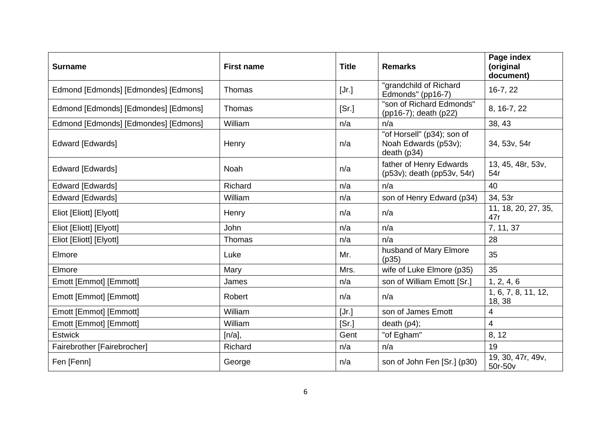| <b>Surname</b>                       | <b>First name</b> | <b>Title</b> | <b>Remarks</b>                                                    | Page index<br>(original<br>document) |
|--------------------------------------|-------------------|--------------|-------------------------------------------------------------------|--------------------------------------|
| Edmond [Edmonds] [Edmondes] [Edmons] | Thomas            | [Jr.]        | "grandchild of Richard<br>Edmonds" (pp16-7)                       | 16-7, 22                             |
| Edmond [Edmonds] [Edmondes] [Edmons] | Thomas            | [Sr.]        | "son of Richard Edmonds"<br>(pp16-7); death (p22)                 | 8, 16-7, 22                          |
| Edmond [Edmonds] [Edmondes] [Edmons] | William           | n/a          | n/a                                                               | 38, 43                               |
| Edward [Edwards]                     | Henry             | n/a          | "of Horsell" (p34); son of<br>Noah Edwards (p53v);<br>death (p34) | 34, 53v, 54r                         |
| Edward [Edwards]                     | <b>Noah</b>       | n/a          | father of Henry Edwards<br>(p53v); death (pp53v, 54r)             | 13, 45, 48r, 53v,<br>54r             |
| Edward [Edwards]                     | Richard           | n/a          | n/a                                                               | 40                                   |
| Edward [Edwards]                     | William           | n/a          | son of Henry Edward (p34)                                         | 34, 53r                              |
| Eliot [Eliott] [Elyott]              | Henry             | n/a          | n/a                                                               | 11, 18, 20, 27, 35,<br>47r           |
| Eliot [Eliott] [Elyott]              | John              | n/a          | n/a                                                               | 7, 11, 37                            |
| Eliot [Eliott] [Elyott]              | Thomas            | n/a          | n/a                                                               | 28                                   |
| Elmore                               | Luke              | Mr.          | husband of Mary Elmore<br>(p35)                                   | 35                                   |
| Elmore                               | Mary              | Mrs.         | wife of Luke Elmore (p35)                                         | 35                                   |
| Emott [Emmot] [Emmott]               | James             | n/a          | son of William Emott [Sr.]                                        | 1, 2, 4, 6                           |
| Emott [Emmot] [Emmott]               | Robert            | n/a          | n/a                                                               | 1, 6, 7, 8, 11, 12,<br>18, 38        |
| Emott [Emmot] [Emmott]               | William           | [Jr.]        | son of James Emott                                                | 4                                    |
| Emott [Emmot] [Emmott]               | William           | [Sr.]        | death $(p4)$ ;                                                    | 4                                    |
| <b>Estwick</b>                       | [n/a],            | Gent         | "of Egham"                                                        | 8, 12                                |
| Fairebrother [Fairebrocher]          | Richard           | n/a          | n/a                                                               | 19                                   |
| Fen [Fenn]                           | George            | n/a          | son of John Fen [Sr.] (p30)                                       | 19, 30, 47r, 49v,<br>50r-50v         |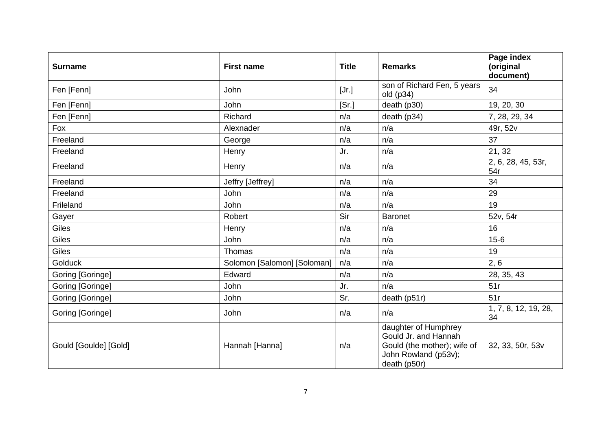| <b>Surname</b>        | <b>First name</b>           | <b>Title</b> | <b>Remarks</b>                                                                                                      | Page index<br>(original<br>document) |
|-----------------------|-----------------------------|--------------|---------------------------------------------------------------------------------------------------------------------|--------------------------------------|
| Fen [Fenn]            | John                        | [Jr.]        | son of Richard Fen, 5 years<br>old (p34)                                                                            | 34                                   |
| Fen [Fenn]            | John                        | [Sr.]        | death (p30)                                                                                                         | 19, 20, 30                           |
| Fen [Fenn]            | Richard                     | n/a          | death (p34)                                                                                                         | 7, 28, 29, 34                        |
| Fox                   | Alexnader                   | n/a          | n/a                                                                                                                 | 49r, 52v                             |
| Freeland              | George                      | n/a          | n/a                                                                                                                 | 37                                   |
| Freeland              | Henry                       | Jr.          | n/a                                                                                                                 | 21, 32                               |
| Freeland              | Henry                       | n/a          | n/a                                                                                                                 | 2, 6, 28, 45, 53r,<br>54r            |
| Freeland              | Jeffry [Jeffrey]            | n/a          | n/a                                                                                                                 | 34                                   |
| Freeland              | <b>John</b>                 | n/a          | n/a                                                                                                                 | 29                                   |
| Frileland             | John                        | n/a          | n/a                                                                                                                 | 19                                   |
| Gayer                 | Robert                      | Sir          | <b>Baronet</b>                                                                                                      | 52v, 54r                             |
| Giles                 | Henry                       | n/a          | n/a                                                                                                                 | 16                                   |
| Giles                 | John                        | n/a          | n/a                                                                                                                 | $15 - 6$                             |
| Giles                 | Thomas                      | n/a          | n/a                                                                                                                 | 19                                   |
| <b>Golduck</b>        | Solomon [Salomon] [Soloman] | n/a          | n/a                                                                                                                 | 2, 6                                 |
| Goring [Goringe]      | Edward                      | n/a          | n/a                                                                                                                 | 28, 35, 43                           |
| Goring [Goringe]      | John                        | Jr.          | n/a                                                                                                                 | 51r                                  |
| Goring [Goringe]      | John                        | Sr.          | death (p51r)                                                                                                        | 51r                                  |
| Goring [Goringe]      | John                        | n/a          | n/a                                                                                                                 | 1, 7, 8, 12, 19, 28,<br>34           |
| Gould [Goulde] [Gold] | Hannah [Hanna]              | n/a          | daughter of Humphrey<br>Gould Jr. and Hannah<br>Gould (the mother); wife of<br>John Rowland (p53v);<br>death (p50r) | 32, 33, 50r, 53v                     |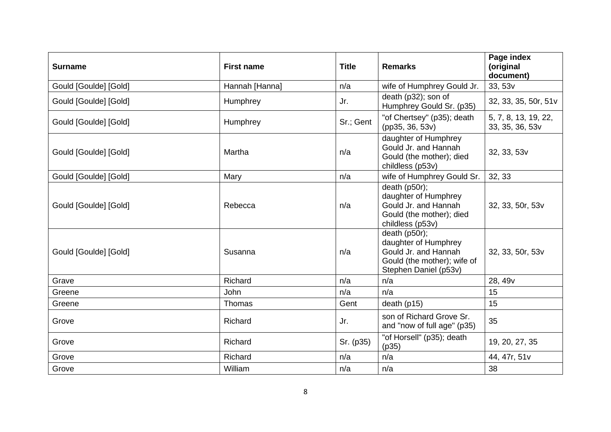| <b>Surname</b>        | <b>First name</b> | <b>Title</b> | <b>Remarks</b>                                                                                                        | Page index<br>(original<br>document)    |
|-----------------------|-------------------|--------------|-----------------------------------------------------------------------------------------------------------------------|-----------------------------------------|
| Gould [Goulde] [Gold] | Hannah [Hanna]    | n/a          | wife of Humphrey Gould Jr.                                                                                            | 33, 53v                                 |
| Gould [Goulde] [Gold] | Humphrey          | Jr.          | death (p32); son of<br>Humphrey Gould Sr. (p35)                                                                       | 32, 33, 35, 50r, 51v                    |
| Gould [Goulde] [Gold] | Humphrey          | Sr.; Gent    | "of Chertsey" (p35); death<br>(pp35, 36, 53v)                                                                         | 5, 7, 8, 13, 19, 22,<br>33, 35, 36, 53v |
| Gould [Goulde] [Gold] | Martha            | n/a          | daughter of Humphrey<br>Gould Jr. and Hannah<br>Gould (the mother); died<br>childless (p53v)                          | 32, 33, 53v                             |
| Gould [Goulde] [Gold] | Mary              | n/a          | wife of Humphrey Gould Sr.                                                                                            | 32, 33                                  |
| Gould [Goulde] [Gold] | Rebecca           | n/a          | death $(p50r)$ ;<br>daughter of Humphrey<br>Gould Jr. and Hannah<br>Gould (the mother); died<br>childless (p53v)      | 32, 33, 50r, 53v                        |
| Gould [Goulde] [Gold] | Susanna           | n/a          | death (p50r);<br>daughter of Humphrey<br>Gould Jr. and Hannah<br>Gould (the mother); wife of<br>Stephen Daniel (p53v) | 32, 33, 50r, 53v                        |
| Grave                 | Richard           | n/a          | n/a                                                                                                                   | 28, 49 <sub>v</sub>                     |
| Greene                | John              | n/a          | n/a                                                                                                                   | 15                                      |
| Greene                | Thomas            | Gent         | death $(p15)$                                                                                                         | 15                                      |
| Grove                 | Richard           | Jr.          | son of Richard Grove Sr.<br>and "now of full age" (p35)                                                               | 35                                      |
| Grove                 | Richard           | Sr. (p35)    | "of Horsell" (p35); death<br>(p35)                                                                                    | 19, 20, 27, 35                          |
| Grove                 | Richard           | n/a          | n/a                                                                                                                   | 44, 47r, 51v                            |
| Grove                 | William           | n/a          | n/a                                                                                                                   | 38                                      |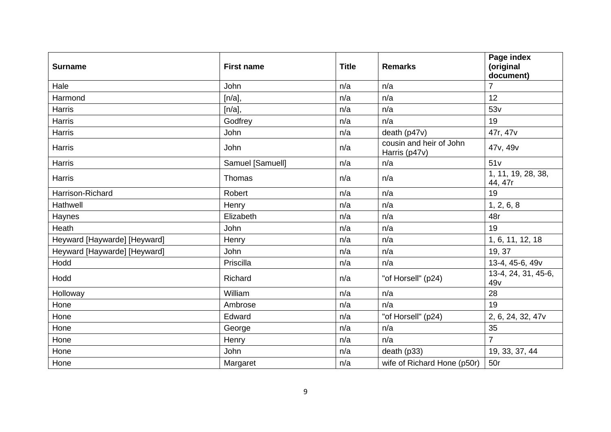| <b>Surname</b>               | <b>First name</b> | <b>Title</b> | <b>Remarks</b>                           | Page index<br>(original<br>document) |
|------------------------------|-------------------|--------------|------------------------------------------|--------------------------------------|
| Hale                         | John              | n/a          | n/a                                      | $\overline{7}$                       |
| Harmond                      | [n/a],            | n/a          | n/a                                      | 12                                   |
| Harris                       | [n/a],            | n/a          | n/a                                      | 53v                                  |
| <b>Harris</b>                | Godfrey           | n/a          | n/a                                      | 19                                   |
| Harris                       | John              | n/a          | death (p47v)                             | 47r, 47v                             |
| Harris                       | John              | n/a          | cousin and heir of John<br>Harris (p47v) | 47v, 49v                             |
| Harris                       | Samuel [Samuell]  | n/a          | n/a                                      | 51v                                  |
| Harris                       | Thomas            | n/a          | n/a                                      | 1, 11, 19, 28, 38,<br>44, 47r        |
| Harrison-Richard             | Robert            | n/a          | n/a                                      | 19                                   |
| Hathwell                     | Henry             | n/a          | n/a                                      | 1, 2, 6, 8                           |
| Haynes                       | Elizabeth         | n/a          | n/a                                      | 48r                                  |
| Heath                        | John              | n/a          | n/a                                      | 19                                   |
| Heyward [Haywarde] [Heyward] | Henry             | n/a          | n/a                                      | 1, 6, 11, 12, 18                     |
| Heyward [Haywarde] [Heyward] | John              | n/a          | n/a                                      | 19, 37                               |
| Hodd                         | Priscilla         | n/a          | n/a                                      | 13-4, 45-6, 49v                      |
| Hodd                         | Richard           | n/a          | "of Horsell" (p24)                       | 13-4, 24, 31, 45-6,<br>49v           |
| Holloway                     | William           | n/a          | n/a                                      | 28                                   |
| Hone                         | Ambrose           | n/a          | n/a                                      | 19                                   |
| Hone                         | Edward            | n/a          | "of Horsell" (p24)                       | 2, 6, 24, 32, 47 $v$                 |
| Hone                         | George            | n/a          | n/a                                      | 35                                   |
| Hone                         | Henry             | n/a          | n/a                                      | $\overline{7}$                       |
| Hone                         | John              | n/a          | death (p33)                              | 19, 33, 37, 44                       |
| Hone                         | Margaret          | n/a          | wife of Richard Hone (p50r)              | 50r                                  |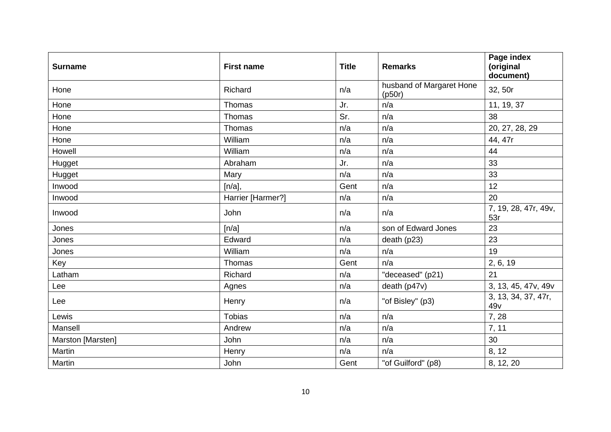| <b>Surname</b>    | <b>First name</b> | <b>Title</b> | <b>Remarks</b>                     | Page index<br>(original<br>document) |
|-------------------|-------------------|--------------|------------------------------------|--------------------------------------|
| Hone              | Richard           | n/a          | husband of Margaret Hone<br>(p50r) | 32, 50r                              |
| Hone              | Thomas            | Jr.          | n/a                                | 11, 19, 37                           |
| Hone              | Thomas            | Sr.          | n/a                                | 38                                   |
| Hone              | Thomas            | n/a          | n/a                                | 20, 27, 28, 29                       |
| Hone              | William           | n/a          | n/a                                | 44, 47r                              |
| Howell            | William           | n/a          | n/a                                | 44                                   |
| Hugget            | Abraham           | Jr.          | n/a                                | 33                                   |
| Hugget            | Mary              | n/a          | n/a                                | 33                                   |
| Inwood            | [n/a],            | Gent         | n/a                                | 12                                   |
| Inwood            | Harrier [Harmer?] | n/a          | n/a                                | 20                                   |
| Inwood            | John              | n/a          | n/a                                | 7, 19, 28, 47r, 49v,<br>53r          |
| Jones             | [n/a]             | n/a          | son of Edward Jones                | 23                                   |
| Jones             | Edward            | n/a          | death (p23)                        | 23                                   |
| Jones             | William           | n/a          | n/a                                | 19                                   |
| Key               | Thomas            | Gent         | n/a                                | 2, 6, 19                             |
| Latham            | Richard           | n/a          | "deceased" (p21)                   | 21                                   |
| Lee               | Agnes             | n/a          | death (p47v)                       | 3, 13, 45, 47v, 49v                  |
| Lee               | Henry             | n/a          | "of Bisley" (p3)                   | 3, 13, 34, 37, 47r,<br>49v           |
| Lewis             | <b>Tobias</b>     | n/a          | n/a                                | 7, 28                                |
| Mansell           | Andrew            | n/a          | n/a                                | 7, 11                                |
| Marston [Marsten] | John              | n/a          | n/a                                | 30                                   |
| Martin            | Henry             | n/a          | n/a                                | 8, 12                                |
| Martin            | John              | Gent         | "of Guilford" (p8)                 | 8, 12, 20                            |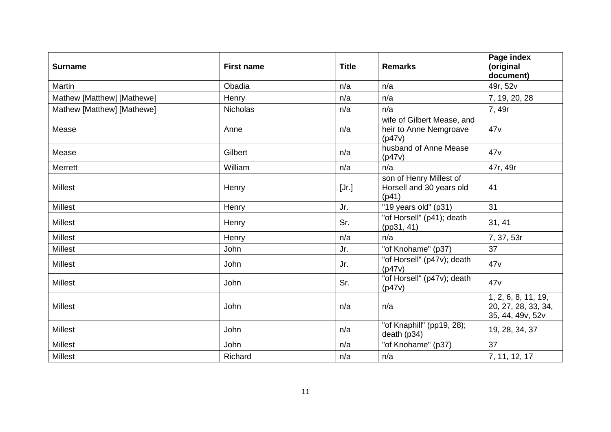| <b>Surname</b>             | <b>First name</b> | <b>Title</b> | <b>Remarks</b>                                                 | Page index<br>(original<br>document)                           |
|----------------------------|-------------------|--------------|----------------------------------------------------------------|----------------------------------------------------------------|
| Martin                     | Obadia            | n/a          | n/a                                                            | 49r, 52v                                                       |
| Mathew [Matthew] [Mathewe] | Henry             | n/a          | n/a                                                            | 7, 19, 20, 28                                                  |
| Mathew [Matthew] [Mathewe] | Nicholas          | n/a          | n/a                                                            | 7, 49r                                                         |
| Mease                      | Anne              | n/a          | wife of Gilbert Mease, and<br>heir to Anne Nemgroave<br>(p47v) | 47v                                                            |
| Mease                      | Gilbert           | n/a          | husband of Anne Mease<br>(p47v)                                | 47v                                                            |
| <b>Merrett</b>             | William           | n/a          | n/a                                                            | 47r, 49r                                                       |
| <b>Millest</b>             | Henry             | [Jr.]        | son of Henry Millest of<br>Horsell and 30 years old<br>(p41)   | 41                                                             |
| <b>Millest</b>             | Henry             | Jr.          | "19 years old" (p31)                                           | 31                                                             |
| <b>Millest</b>             | Henry             | Sr.          | "of Horsell" (p41); death<br>(pp31, 41)                        | 31, 41                                                         |
| <b>Millest</b>             | Henry             | n/a          | n/a                                                            | 7, 37, 53r                                                     |
| <b>Millest</b>             | John              | Jr.          | "of Knohame" (p37)                                             | 37                                                             |
| <b>Millest</b>             | John              | Jr.          | "of Horsell" (p47v); death<br>(p47v)                           | 47v                                                            |
| <b>Millest</b>             | John              | Sr.          | "of Horsell" (p47v); death<br>(p47v)                           | 47v                                                            |
| <b>Millest</b>             | John              | n/a          | n/a                                                            | 1, 2, 6, 8, 11, 19,<br>20, 27, 28, 33, 34,<br>35, 44, 49v, 52v |
| <b>Millest</b>             | John              | n/a          | "of Knaphill" (pp19, 28);<br>death (p34)                       | 19, 28, 34, 37                                                 |
| <b>Millest</b>             | John              | n/a          | "of Knohame" (p37)                                             | 37                                                             |
| <b>Millest</b>             | Richard           | n/a          | n/a                                                            | 7, 11, 12, 17                                                  |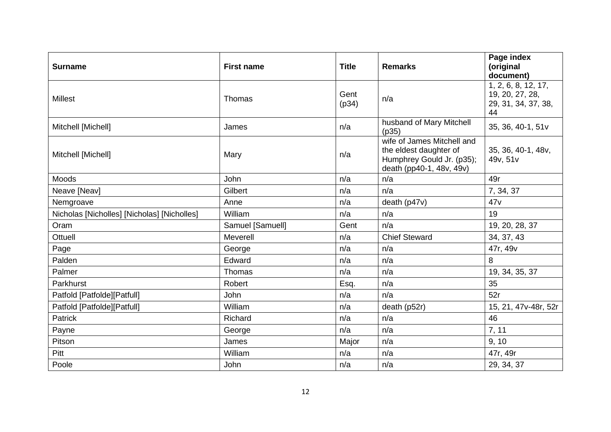| <b>Surname</b>                              | <b>First name</b> | <b>Title</b>  | <b>Remarks</b>                                                                                                | Page index<br>(original<br>document)                                |
|---------------------------------------------|-------------------|---------------|---------------------------------------------------------------------------------------------------------------|---------------------------------------------------------------------|
| <b>Millest</b>                              | Thomas            | Gent<br>(p34) | n/a                                                                                                           | 1, 2, 6, 8, 12, 17,<br>19, 20, 27, 28,<br>29, 31, 34, 37, 38,<br>44 |
| Mitchell [Michell]                          | James             | n/a           | husband of Mary Mitchell<br>(p35)                                                                             | 35, 36, 40-1, 51v                                                   |
| Mitchell [Michell]                          | Mary              | n/a           | wife of James Mitchell and<br>the eldest daughter of<br>Humphrey Gould Jr. (p35);<br>death (pp40-1, 48v, 49v) | 35, 36, 40-1, 48v,<br>49v, 51v                                      |
| Moods                                       | John              | n/a           | n/a                                                                                                           | 49r                                                                 |
| Neave [Neav]                                | Gilbert           | n/a           | n/a                                                                                                           | 7, 34, 37                                                           |
| Nemgroave                                   | Anne              | n/a           | death (p47v)                                                                                                  | 47v                                                                 |
| Nicholas [Nicholles] [Nicholas] [Nicholles] | William           | n/a           | n/a                                                                                                           | 19                                                                  |
| Oram                                        | Samuel [Samuell]  | Gent          | n/a                                                                                                           | 19, 20, 28, 37                                                      |
| Ottuell                                     | Meverell          | n/a           | <b>Chief Steward</b>                                                                                          | 34, 37, 43                                                          |
| Page                                        | George            | n/a           | n/a                                                                                                           | 47r, 49v                                                            |
| Palden                                      | Edward            | n/a           | n/a                                                                                                           | 8                                                                   |
| Palmer                                      | Thomas            | n/a           | n/a                                                                                                           | 19, 34, 35, 37                                                      |
| Parkhurst                                   | Robert            | Esq.          | n/a                                                                                                           | 35                                                                  |
| Patfold [Patfolde][Patfull]                 | John              | n/a           | n/a                                                                                                           | 52r                                                                 |
| Patfold [Patfolde][Patfull]                 | William           | n/a           | death (p52r)                                                                                                  | 15, 21, 47v-48r, 52r                                                |
| Patrick                                     | Richard           | n/a           | n/a                                                                                                           | 46                                                                  |
| Payne                                       | George            | n/a           | n/a                                                                                                           | 7, 11                                                               |
| Pitson                                      | James             | Major         | n/a                                                                                                           | 9, 10                                                               |
| Pitt                                        | William           | n/a           | n/a                                                                                                           | 47r, 49r                                                            |
| Poole                                       | John              | n/a           | n/a                                                                                                           | 29, 34, 37                                                          |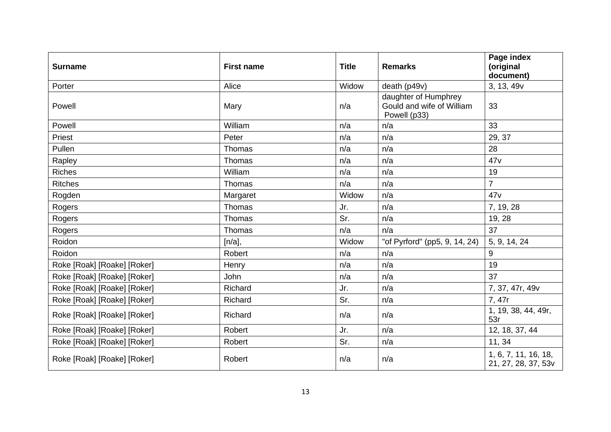| <b>Surname</b>              | <b>First name</b> | <b>Title</b> | <b>Remarks</b>                                                    | Page index<br>(original<br>document)        |
|-----------------------------|-------------------|--------------|-------------------------------------------------------------------|---------------------------------------------|
| Porter                      | Alice             | Widow        | death (p49v)                                                      | 3, 13, 49v                                  |
| Powell                      | Mary              | n/a          | daughter of Humphrey<br>Gould and wife of William<br>Powell (p33) | 33                                          |
| Powell                      | William           | n/a          | n/a                                                               | 33                                          |
| Priest                      | Peter             | n/a          | n/a                                                               | 29, 37                                      |
| Pullen                      | Thomas            | n/a          | n/a                                                               | 28                                          |
| Rapley                      | Thomas            | n/a          | n/a                                                               | 47v                                         |
| <b>Riches</b>               | William           | n/a          | n/a                                                               | 19                                          |
| <b>Ritches</b>              | Thomas            | n/a          | n/a                                                               | $\overline{7}$                              |
| Rogden                      | Margaret          | Widow        | n/a                                                               | 47v                                         |
| Rogers                      | Thomas            | Jr.          | n/a                                                               | 7, 19, 28                                   |
| Rogers                      | Thomas            | Sr.          | n/a                                                               | 19, 28                                      |
| Rogers                      | Thomas            | n/a          | n/a                                                               | 37                                          |
| Roidon                      | [n/a],            | Widow        | "of Pyrford" (pp5, 9, 14, 24)                                     | 5, 9, 14, 24                                |
| Roidon                      | Robert            | n/a          | n/a                                                               | 9                                           |
| Roke [Roak] [Roake] [Roker] | Henry             | n/a          | n/a                                                               | 19                                          |
| Roke [Roak] [Roake] [Roker] | John              | n/a          | n/a                                                               | 37                                          |
| Roke [Roak] [Roake] [Roker] | Richard           | Jr.          | n/a                                                               | 7, 37, 47r, 49v                             |
| Roke [Roak] [Roake] [Roker] | Richard           | Sr.          | n/a                                                               | 7, 47r                                      |
| Roke [Roak] [Roake] [Roker] | Richard           | n/a          | n/a                                                               | 1, 19, 38, 44, 49r,<br>53r                  |
| Roke [Roak] [Roake] [Roker] | Robert            | Jr.          | n/a                                                               | 12, 18, 37, 44                              |
| Roke [Roak] [Roake] [Roker] | Robert            | Sr.          | n/a                                                               | 11, 34                                      |
| Roke [Roak] [Roake] [Roker] | Robert            | n/a          | n/a                                                               | 1, 6, 7, 11, 16, 18,<br>21, 27, 28, 37, 53v |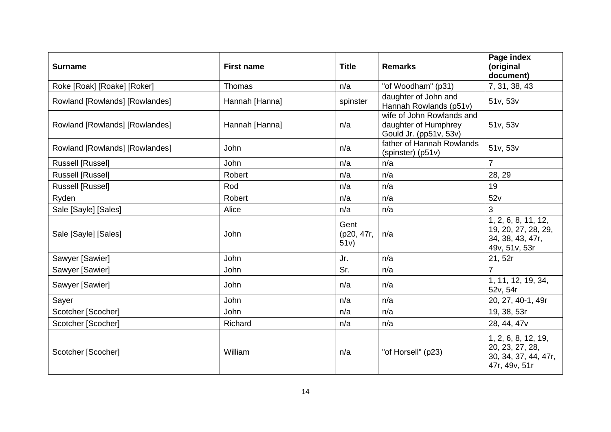| <b>Surname</b>                 | <b>First name</b> | <b>Title</b>               | <b>Remarks</b>                                                              | Page index<br>(original<br>document)                                            |
|--------------------------------|-------------------|----------------------------|-----------------------------------------------------------------------------|---------------------------------------------------------------------------------|
| Roke [Roak] [Roake] [Roker]    | Thomas            | n/a                        | "of Woodham" (p31)                                                          | 7, 31, 38, 43                                                                   |
| Rowland [Rowlands] [Rowlandes] | Hannah [Hanna]    | spinster                   | daughter of John and<br>Hannah Rowlands (p51v)                              | 51v, 53v                                                                        |
| Rowland [Rowlands] [Rowlandes] | Hannah [Hanna]    | n/a                        | wife of John Rowlands and<br>daughter of Humphrey<br>Gould Jr. (pp51v, 53v) | 51v, 53v                                                                        |
| Rowland [Rowlands] [Rowlandes] | John              | n/a                        | father of Hannah Rowlands<br>(spinster) (p51v)                              | 51v, 53v                                                                        |
| Russell [Russel]               | John              | n/a                        | n/a                                                                         | $\overline{7}$                                                                  |
| <b>Russell [Russel]</b>        | Robert            | n/a                        | n/a                                                                         | 28, 29                                                                          |
| <b>Russell [Russel]</b>        | Rod               | n/a                        | n/a                                                                         | 19                                                                              |
| Ryden                          | Robert            | n/a                        | n/a                                                                         | 52v                                                                             |
| Sale [Sayle] [Sales]           | Alice             | n/a                        | n/a                                                                         | 3                                                                               |
| Sale [Sayle] [Sales]           | John              | Gent<br>(p20, 47r,<br>51v) | n/a                                                                         | 1, 2, 6, 8, 11, 12,<br>19, 20, 27, 28, 29,<br>34, 38, 43, 47r,<br>49v, 51v, 53r |
| Sawyer [Sawier]                | John              | Jr.                        | n/a                                                                         | 21, 52r                                                                         |
| Sawyer [Sawier]                | John              | Sr.                        | n/a                                                                         | $\overline{7}$                                                                  |
| Sawyer [Sawier]                | John              | n/a                        | n/a                                                                         | 1, 11, 12, 19, 34,<br>52v, 54r                                                  |
| Sayer                          | John              | n/a                        | n/a                                                                         | 20, 27, 40-1, 49r                                                               |
| Scotcher [Scocher]             | <b>John</b>       | n/a                        | n/a                                                                         | 19, 38, 53r                                                                     |
| Scotcher [Scocher]             | Richard           | n/a                        | n/a                                                                         | 28, 44, 47v                                                                     |
| Scotcher [Scocher]             | William           | n/a                        | "of Horsell" (p23)                                                          | 1, 2, 6, 8, 12, 19,<br>20, 23, 27, 28,<br>30, 34, 37, 44, 47r,<br>47r, 49v, 51r |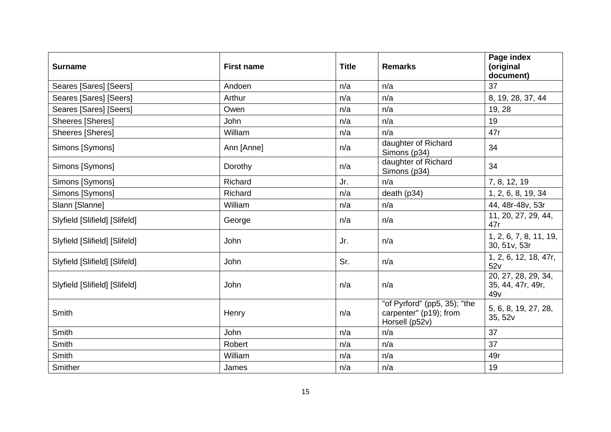| <b>Surname</b>                | <b>First name</b> | <b>Title</b> | <b>Remarks</b>                                                           | Page index<br>(original<br>document)            |
|-------------------------------|-------------------|--------------|--------------------------------------------------------------------------|-------------------------------------------------|
| Seares [Sares] [Seers]        | Andoen            | n/a          | n/a                                                                      | 37                                              |
| Seares [Sares] [Seers]        | Arthur            | n/a          | n/a                                                                      | 8, 19, 28, 37, 44                               |
| Seares [Sares] [Seers]        | Owen              | n/a          | n/a                                                                      | 19, 28                                          |
| Sheeres [Sheres]              | John              | n/a          | n/a                                                                      | 19                                              |
| <b>Sheeres [Sheres]</b>       | William           | n/a          | n/a                                                                      | 47r                                             |
| Simons [Symons]               | Ann [Anne]        | n/a          | daughter of Richard<br>Simons (p34)                                      | 34                                              |
| Simons [Symons]               | Dorothy           | n/a          | daughter of Richard<br>Simons (p34)                                      | 34                                              |
| Simons [Symons]               | Richard           | Jr.          | n/a                                                                      | 7, 8, 12, 19                                    |
| Simons [Symons]               | Richard           | n/a          | death (p34)                                                              | 1, 2, 6, 8, 19, 34                              |
| Slann [Slanne]                | William           | n/a          | n/a                                                                      | 44, 48r-48v, 53r                                |
| Slyfield [Slifield] [Slifeld] | George            | n/a          | n/a                                                                      | 11, 20, 27, 29, 44,<br>47r                      |
| Slyfield [Slifield] [Slifeld] | John              | Jr.          | n/a                                                                      | 1, 2, 6, 7, 8, 11, 19,<br>30, 51v, 53r          |
| Slyfield [Slifield] [Slifeld] | John              | Sr.          | n/a                                                                      | 1, 2, 6, 12, 18, 47r,<br>52v                    |
| Slyfield [Slifield] [Slifeld] | John              | n/a          | n/a                                                                      | 20, 27, 28, 29, 34,<br>35, 44, 47r, 49r,<br>49v |
| Smith                         | Henry             | n/a          | "of Pyrford" (pp5, 35); "the<br>carpenter" (p19); from<br>Horsell (p52v) | 5, 6, 8, 19, 27, 28,<br>35, 52v                 |
| Smith                         | John              | n/a          | n/a                                                                      | 37                                              |
| Smith                         | Robert            | n/a          | n/a                                                                      | 37                                              |
| Smith                         | William           | n/a          | n/a                                                                      | 49r                                             |
| Smither                       | James             | n/a          | n/a                                                                      | 19                                              |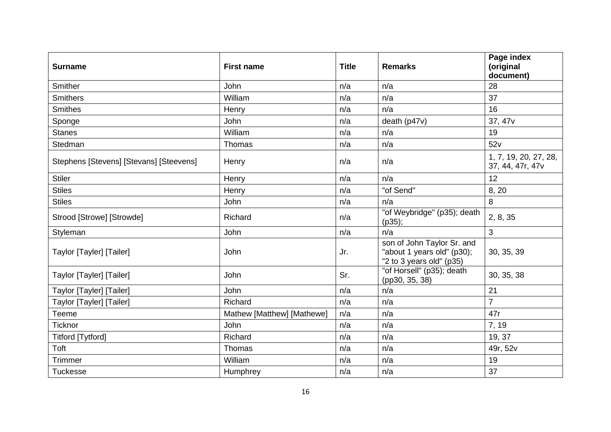| <b>Surname</b>                          | <b>First name</b>          | <b>Title</b> | <b>Remarks</b>                                                                       | Page index<br>(original<br>document)      |
|-----------------------------------------|----------------------------|--------------|--------------------------------------------------------------------------------------|-------------------------------------------|
| Smither                                 | John                       | n/a          | n/a                                                                                  | 28                                        |
| <b>Smithers</b>                         | William                    | n/a          | n/a                                                                                  | 37                                        |
| <b>Smithes</b>                          | Henry                      | n/a          | n/a                                                                                  | 16                                        |
| Sponge                                  | John                       | n/a          | death (p47v)                                                                         | 37, 47v                                   |
| <b>Stanes</b>                           | William                    | n/a          | n/a                                                                                  | 19                                        |
| Stedman                                 | Thomas                     | n/a          | n/a                                                                                  | 52v                                       |
| Stephens [Stevens] [Stevans] [Steevens] | Henry                      | n/a          | n/a                                                                                  | 1, 7, 19, 20, 27, 28,<br>37, 44, 47r, 47v |
| <b>Stiler</b>                           | Henry                      | n/a          | n/a                                                                                  | 12                                        |
| <b>Stiles</b>                           | Henry                      | n/a          | "of Send"                                                                            | 8, 20                                     |
| <b>Stiles</b>                           | John                       | n/a          | n/a                                                                                  | 8                                         |
| Strood [Strowe] [Strowde]               | Richard                    | n/a          | "of Weybridge" (p35); death<br>(p35);                                                | 2, 8, 35                                  |
| Styleman                                | John                       | n/a          | n/a                                                                                  | 3                                         |
| Taylor [Tayler] [Tailer]                | John                       | Jr.          | son of John Taylor Sr. and<br>"about 1 years old" (p30);<br>"2 to 3 years old" (p35) | 30, 35, 39                                |
| Taylor [Tayler] [Tailer]                | John                       | Sr.          | "of Horsell" (p35); death<br>(pp30, 35, 38)                                          | 30, 35, 38                                |
| Taylor [Tayler] [Tailer]                | John                       | n/a          | n/a                                                                                  | 21                                        |
| Taylor [Tayler] [Tailer]                | Richard                    | n/a          | n/a                                                                                  | $\overline{7}$                            |
| Teeme                                   | Mathew [Matthew] [Mathewe] | n/a          | n/a                                                                                  | 47r                                       |
| <b>Ticknor</b>                          | John                       | n/a          | n/a                                                                                  | 7, 19                                     |
| <b>Titford [Tytford]</b>                | Richard                    | n/a          | n/a                                                                                  | 19, 37                                    |
| Toft                                    | Thomas                     | n/a          | n/a                                                                                  | 49r, 52v                                  |
| Trimmer                                 | William                    | n/a          | n/a                                                                                  | 19                                        |
| <b>Tuckesse</b>                         | Humphrey                   | n/a          | n/a                                                                                  | 37                                        |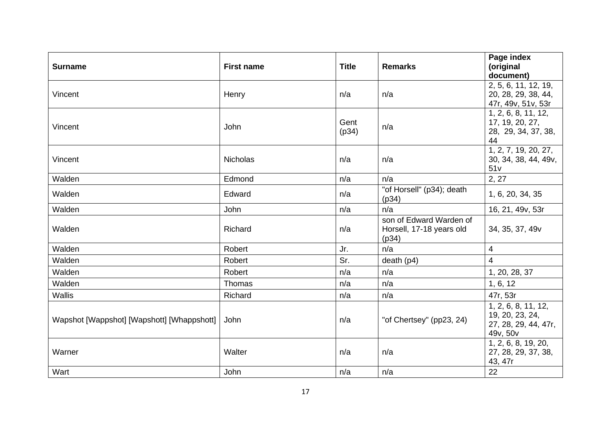| <b>Surname</b>                             | <b>First name</b> | <b>Title</b>  | <b>Remarks</b>                                               | Page index<br>(original                                                    |
|--------------------------------------------|-------------------|---------------|--------------------------------------------------------------|----------------------------------------------------------------------------|
|                                            |                   |               |                                                              | document)<br>2, 5, 6, 11, 12, 19,                                          |
| Vincent                                    | Henry             | n/a           | n/a                                                          | 20, 28, 29, 38, 44,<br>47r, 49v, 51v, 53r                                  |
| Vincent                                    | John              | Gent<br>(p34) | n/a                                                          | 1, 2, 6, 8, 11, 12,<br>17, 19, 20, 27,<br>28, 29, 34, 37, 38,<br>44        |
| Vincent                                    | <b>Nicholas</b>   | n/a           | n/a                                                          | 1, 2, 7, 19, 20, 27,<br>30, 34, 38, 44, 49v,<br>51v                        |
| Walden                                     | Edmond            | n/a           | n/a                                                          | 2, 27                                                                      |
| Walden                                     | Edward            | n/a           | "of Horsell" (p34); death<br>(p34)                           | 1, 6, 20, 34, 35                                                           |
| Walden                                     | John              | n/a           | n/a                                                          | 16, 21, 49v, 53r                                                           |
| Walden                                     | Richard           | n/a           | son of Edward Warden of<br>Horsell, 17-18 years old<br>(p34) | 34, 35, 37, 49v                                                            |
| Walden                                     | Robert            | Jr.           | n/a                                                          | 4                                                                          |
| Walden                                     | Robert            | Sr.           | death (p4)                                                   | 4                                                                          |
| Walden                                     | Robert            | n/a           | n/a                                                          | 1, 20, 28, 37                                                              |
| Walden                                     | Thomas            | n/a           | n/a                                                          | 1, 6, 12                                                                   |
| <b>Wallis</b>                              | Richard           | n/a           | n/a                                                          | 47r, 53r                                                                   |
| Wapshot [Wappshot] [Wapshott] [Whappshott] | John              | n/a           | "of Chertsey" (pp23, 24)                                     | 1, 2, 6, 8, 11, 12,<br>19, 20, 23, 24,<br>27, 28, 29, 44, 47r,<br>49v, 50v |
| Warner                                     | Walter            | n/a           | n/a                                                          | 1, 2, 6, 8, 19, 20,<br>27, 28, 29, 37, 38,<br>43, 47r                      |
| Wart                                       | John              | n/a           | n/a                                                          | 22                                                                         |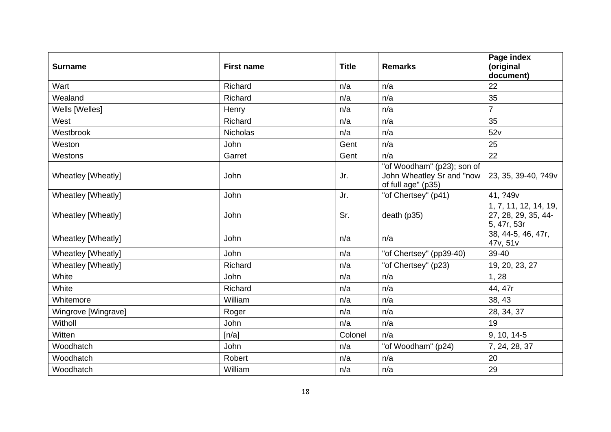| <b>Surname</b>      | <b>First name</b> | <b>Title</b> | <b>Remarks</b>                                                                | Page index<br>(original<br>document)                        |
|---------------------|-------------------|--------------|-------------------------------------------------------------------------------|-------------------------------------------------------------|
| Wart                | Richard           | n/a          | n/a                                                                           | 22                                                          |
| Wealand             | Richard           | n/a          | n/a                                                                           | 35                                                          |
| Wells [Welles]      | Henry             | n/a          | n/a                                                                           | $\overline{7}$                                              |
| West                | Richard           | n/a          | n/a                                                                           | 35                                                          |
| Westbrook           | <b>Nicholas</b>   | n/a          | n/a                                                                           | 52v                                                         |
| Weston              | John              | Gent         | n/a                                                                           | 25                                                          |
| Westons             | Garret            | Gent         | n/a                                                                           | 22                                                          |
| Wheatley [Wheatly]  | John              | Jr.          | "of Woodham" (p23); son of<br>John Wheatley Sr and "now<br>of full age" (p35) | 23, 35, 39-40, ?49v                                         |
| Wheatley [Wheatly]  | John              | Jr.          | "of Chertsey" (p41)                                                           | 41, ?49v                                                    |
| Wheatley [Wheatly]  | John              | Sr.          | death (p35)                                                                   | 1, 7, 11, 12, 14, 19,<br>27, 28, 29, 35, 44-<br>5, 47r, 53r |
| Wheatley [Wheatly]  | John              | n/a          | n/a                                                                           | 38, 44-5, 46, 47r,<br>47v, 51v                              |
| Wheatley [Wheatly]  | John              | n/a          | "of Chertsey" (pp39-40)                                                       | 39-40                                                       |
| Wheatley [Wheatly]  | Richard           | n/a          | "of Chertsey" (p23)                                                           | 19, 20, 23, 27                                              |
| White               | John              | n/a          | n/a                                                                           | 1, 28                                                       |
| White               | Richard           | n/a          | n/a                                                                           | 44, 47r                                                     |
| Whitemore           | William           | n/a          | n/a                                                                           | 38, 43                                                      |
| Wingrove [Wingrave] | Roger             | n/a          | n/a                                                                           | 28, 34, 37                                                  |
| Witholl             | John              | n/a          | n/a                                                                           | 19                                                          |
| Witten              | [n/a]             | Colonel      | n/a                                                                           | 9, 10, 14-5                                                 |
| Woodhatch           | John              | n/a          | "of Woodham" (p24)                                                            | 7, 24, 28, 37                                               |
| Woodhatch           | Robert            | n/a          | n/a                                                                           | 20                                                          |
| Woodhatch           | William           | n/a          | n/a                                                                           | 29                                                          |